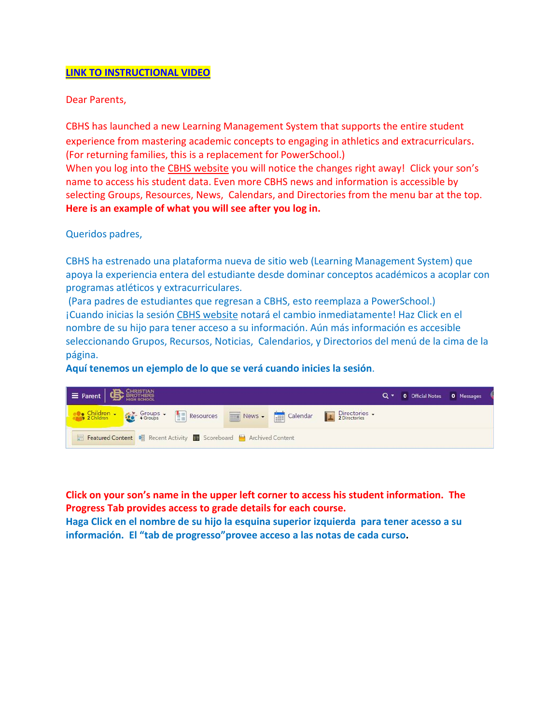## **[LINK TO INSTRUCTIONAL VIDEO](https://www.youtube.com/watch?v=pjM6hLHl2Cg&feature=youtu.be&hd=1)**

Dear Parents,

CBHS has launched a new Learning Management System that supports the entire student experience from mastering academic concepts to engaging in athletics and extracurriculars. (For returning families, this is a replacement for PowerSchool.) When you log into the [CBHS website](https://www.cbhs.org/) you will notice the changes right away! Click your son's name to access his student data. Even more CBHS news and information is accessible by selecting Groups, Resources, News, Calendars, and Directories from the menu bar at the top. **Here is an example of what you will see after you log in.** 

Queridos padres,

CBHS ha estrenado una plataforma nueva de sitio web (Learning Management System) que apoya la experiencia entera del estudiante desde dominar conceptos académicos a acoplar con programas atléticos y extracurriculares.

(Para padres de estudiantes que regresan a CBHS, esto reemplaza a PowerSchool.) ¡Cuando inicias la sesión [CBHS website](https://www.cbhs.org/) notará el cambio inmediatamente! Haz Click en el nombre de su hijo para tener acceso a su información. Aún más información es accesible seleccionando Grupos, Recursos, Noticias, Calendarios, y Directorios del menú de la cima de la página.

**Aquí tenemos un ejemplo de lo que se verá cuando inicies la sesión**.



**Click on your son's name in the upper left corner to access his student information. The Progress Tab provides access to grade details for each course.** 

**Haga Click en el nombre de su hijo la esquina superior izquierda para tener acesso a su información. El "tab de progresso"provee acceso a las notas de cada curso.**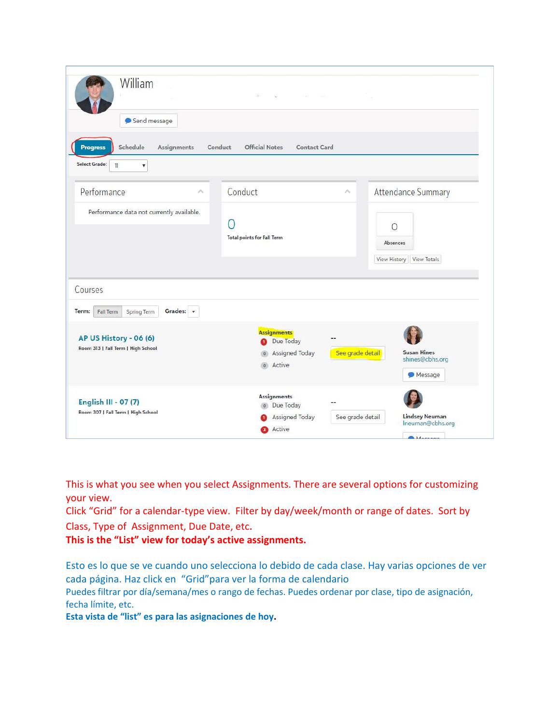| William<br>Send message                                                                            | s.<br>$\sim 10^{-1}$                                                                |                                                                                 |             |  |  |
|----------------------------------------------------------------------------------------------------|-------------------------------------------------------------------------------------|---------------------------------------------------------------------------------|-------------|--|--|
| Schedule<br><b>Assignments</b><br><b>Progress</b><br>Select Grade:<br>11<br>$\overline{\mathbf v}$ | <b>Official Notes</b><br>Conduct<br><b>Contact Card</b>                             |                                                                                 |             |  |  |
| Performance<br>$\mathcal{N}_{\rm b}$                                                               | Conduct                                                                             | Attendance Summary<br>×                                                         |             |  |  |
| Performance data not currently available.                                                          | $\Box$<br><b>Total points for Fall Term</b>                                         | $\Omega$<br>Absences<br><b>View History</b>                                     | View Totals |  |  |
| Courses                                                                                            |                                                                                     |                                                                                 |             |  |  |
| Grades: +<br>Term:<br>Fall Term<br>Spring Term                                                     |                                                                                     |                                                                                 |             |  |  |
| AP US History - 06 (6)<br>Room 313   Fall Term   High School                                       | <b>Assignments</b><br>--<br>Due Today<br>Ω<br>Assigned Today<br>$\circ$<br>o Active | See grade detail<br><b>Susan Hines</b><br>shines@cbhs.org<br>Message            |             |  |  |
| English III - 07 (7)<br>Room 307   Fall Term   High School                                         | <b>Assignments</b><br>o Due Today<br>Assigned Today<br><b>B</b> Active              | <b>Lindsey Neuman</b><br>See grade detail<br>Ineuman@cbhs.org<br><b>MAGGACO</b> |             |  |  |

This is what you see when you select Assignments. There are several options for customizing your view.

Click "Grid" for a calendar-type view. Filter by day/week/month or range of dates. Sort by Class, Type of Assignment, Due Date, etc.

**This is the "List" view for today's active assignments.**

Esto es lo que se ve cuando uno selecciona lo debido de cada clase. Hay varias opciones de ver cada página. Haz click en "Grid"para ver la forma de calendario

Puedes filtrar por día/semana/mes o rango de fechas. Puedes ordenar por clase, tipo de asignación, fecha límite, etc.

**Esta vista de "list" es para las asignaciones de hoy.**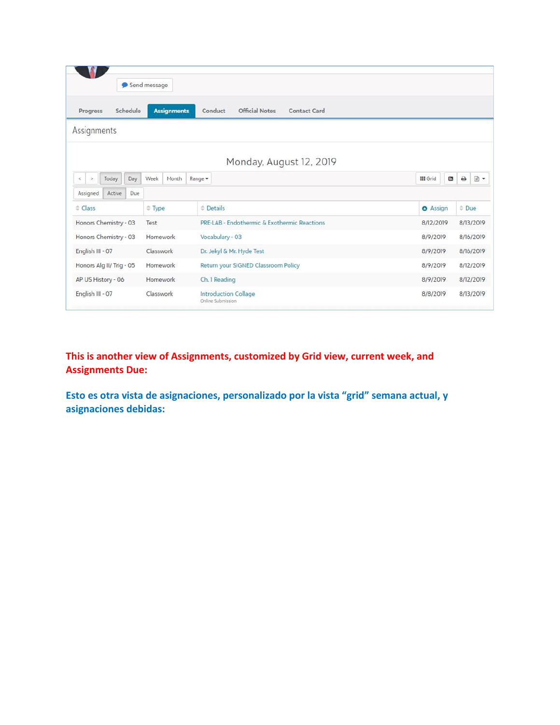|                               |                      | Send message |                     |                 |                                              |                                     |                     |           |           |                 |                |           |        |
|-------------------------------|----------------------|--------------|---------------------|-----------------|----------------------------------------------|-------------------------------------|---------------------|-----------|-----------|-----------------|----------------|-----------|--------|
| Progress                      | Schedule             |              | <b>Assignments</b>  |                 | <b>Official Notes</b><br>Conduct             |                                     | <b>Contact Card</b> |           |           |                 |                |           |        |
| Assignments                   |                      |              |                     |                 |                                              |                                     |                     |           |           |                 |                |           |        |
|                               |                      |              |                     |                 | Monday, August 12, 2019                      |                                     |                     |           |           |                 |                |           |        |
| Today<br>$\,<$<br>$\,$        | Day                  | Week         | Month               | Range -         |                                              |                                     |                     |           |           | <b>III</b> Grid | $\blacksquare$ | ٥         | $\Box$ |
| Assigned                      | Active<br><b>Due</b> |              |                     |                 |                                              |                                     |                     |           |           |                 |                |           |        |
| $\triangle$ Class<br>$F$ Type |                      |              | $\triangle$ Details |                 |                                              | $\triangleq$ Due<br><b>O</b> Assign |                     |           |           |                 |                |           |        |
| Honors Chemistry - 03         |                      | Test         |                     |                 | PRE-LAB - Endothermic & Exothermic Reactions |                                     |                     | 8/12/2019 |           |                 | 8/13/2019      |           |        |
| Honors Chemistry - 03         | <b>Homework</b>      |              |                     | Vocabulary - 03 |                                              |                                     | 8/9/2019            |           | 8/16/2019 |                 |                |           |        |
| English III - 07              |                      | Classwork    |                     |                 | Dr. Jekyl & Mr. Hyde Test                    |                                     |                     | 8/9/2019  |           | 8/16/2019       |                |           |        |
| Honors Alg II/ Trig - 05      |                      | Homework     |                     |                 | Return your SIGNED Classroom Policy          |                                     |                     | 8/9/2019  |           |                 | 8/12/2019      |           |        |
| AP US History - 06            |                      | Homework     |                     |                 | Ch. 1 Reading                                |                                     |                     |           |           | 8/9/2019        |                | 8/12/2019 |        |
| English III - 07              | Classwork            |              |                     |                 | Introduction Collage<br>Online Submission    |                                     |                     |           | 8/8/2019  |                 |                | 8/13/2019 |        |

**This is another view of Assignments, customized by Grid view, current week, and Assignments Due:**

**Esto es otra vista de asignaciones, personalizado por la vista "grid" semana actual, y asignaciones debidas:**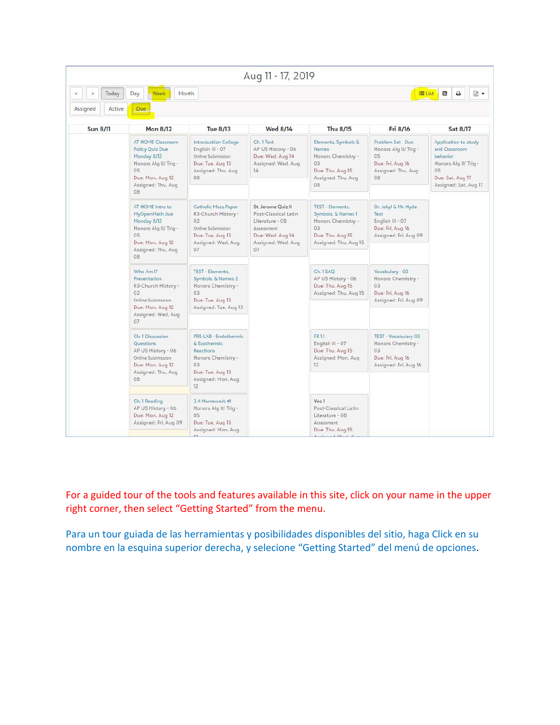|                                       |                                                                                                                                    |                                                                                                                                | Aug 11 - 17, 2019                                                                                                           |                                                                                                                |                                                                                                |                                                                                                                                |
|---------------------------------------|------------------------------------------------------------------------------------------------------------------------------------|--------------------------------------------------------------------------------------------------------------------------------|-----------------------------------------------------------------------------------------------------------------------------|----------------------------------------------------------------------------------------------------------------|------------------------------------------------------------------------------------------------|--------------------------------------------------------------------------------------------------------------------------------|
| Today<br>$\geq$<br>Assigned<br>Active | Day<br>Week<br>Month<br>Due                                                                                                        |                                                                                                                                |                                                                                                                             |                                                                                                                | 三 List                                                                                         | ₿<br>$\Rightarrow$<br>$\mathbb{Z}$                                                                                             |
| <b>Sun 8/11</b>                       | <b>Mon 8/12</b>                                                                                                                    | <b>Tue 8/13</b>                                                                                                                | <b>Wed 8/14</b>                                                                                                             | Thu 8/15                                                                                                       | Fri 8/16                                                                                       | Sat 8/17                                                                                                                       |
|                                       | AT HOME Classroom<br>Policy Quiz Due<br>Monday 8/12<br>Honors Alg II/ Trig -<br>05<br>Due: Mon. Aug 12<br>Assigned: Thu, Aug<br>08 | Introduction Collage<br>English III - 07<br>Online Submission<br>Due: Tue, Aug 13<br>Assigned: Thu, Aug<br>08                  | Ch. 1 Test<br>AP US History - 06<br>Due: Wed. Aug 14<br>Assigned: Wed, Aug.<br>14                                           | Elements, Symbols &<br>Names<br>Honors Chemistry -<br>03<br>Due: Thu, Aug 15<br>Assigned: Thu, Aug<br>08       | Problem Set Due<br>Honors Alg II/ Trig -<br>05<br>Due: Fri, Aug 16<br>Assigned: Thu, Aug<br>08 | Application to study<br>and Classroom<br>behavior.<br>Honors Alg II/ Trig -<br>05<br>Due: Sat, Aug 17<br>Assigned: Sat, Aug 17 |
|                                       | AT HOME Intro to<br>MyOpenMath due<br>Monday 8/12<br>Honors Alg II/ Trig -<br>05<br>Due: Mon, Aug 12<br>Assigned: Thu, Aug<br>08   | Catholic Mass Paper<br>R3-Church History -<br>02<br>Online Submission<br>Due: Tue, Aug 13<br>Assigned: Wed, Aug.<br>07         | St. Jerome Quiz II<br>Post-Classical Latin<br>Literature - 08<br>Assessment<br>Due: Wed, Aug 14<br>Assigned: Wed, Aug<br>07 | TEST - Elements<br>Symbols, & Names 1<br>Honors Chemistry -<br>03<br>Due: Thu, Aug 15<br>Assigned: Thu, Aug 15 | Dr. Jekyl & Mr. Hyde<br>Test<br>English III - 07<br>Due: Fri, Aug 16<br>Assigned: Fri, Aug 09  |                                                                                                                                |
|                                       | Who Am I?<br>Presentation<br>R3-Church History -<br>02<br>Online Submission<br>Due: Mon. Aug 12<br>Assigned: Wed, Aug<br>07        | TEST - Elements.<br>Symbols, & Names 2<br>Honors Chemistry -<br>03<br>Due: Tue, Aug 13<br>Assigned: Tue, Aug 13                |                                                                                                                             | Ch. 1 SAQ<br>AP US History - 06<br>Due: Thu, Aug 15<br>Assigned: Thu, Aug 15                                   | Vocabulary - 03<br>Honors Chemistry -<br>03<br>Due: Fri, Aug 16<br>Assigned: Fri, Aug 09       |                                                                                                                                |
|                                       | Ch. 1 Discussion<br>Questions<br>AP US History - 06<br>Online Submission<br>Due: Mon. Aug 12<br>Assigned: Thu, Aug<br>08           | PRE-LAB - Endothermic<br>& Exothermic<br>Reactions<br>Honors Chemistry -<br>03<br>Due: Tue, Aug 13<br>Assigned: Mon, Aug<br>12 |                                                                                                                             | FR 1.1<br>English III - 07<br>Due: Thu. Aug 15<br>Assigned: Mon, Aug<br>12 <sup>°</sup>                        | TEST - Vocabulary 03<br>Honors Chemistry -<br>03<br>Due: Fri. Aug 16<br>Assigned: Fri, Aug 16  |                                                                                                                                |
|                                       | Ch. 1 Reading<br>AP US History - 06<br>Due: Mon. Aug 12<br>Assigned: Fri. Aug 09                                                   | 2.4 Homework #1<br>Honors Alg II/ Trig -<br>05<br>Due: Tue, Aug 13<br>Assigned: Mon, Aug.                                      |                                                                                                                             | Voc 1<br>Post-Classical Latin<br>Literature - 08<br>Assessment<br>Due: Thu, Aug 15<br>Anglewood, Mad. A.       |                                                                                                |                                                                                                                                |

For a guided tour of the tools and features available in this site, click on your name in the upper right corner, then select "Getting Started" from the menu.

Para un tour guiada de las herramientas y posibilidades disponibles del sitio, haga Click en su nombre en la esquina superior derecha, y selecione "Getting Started" del menú de opciones.